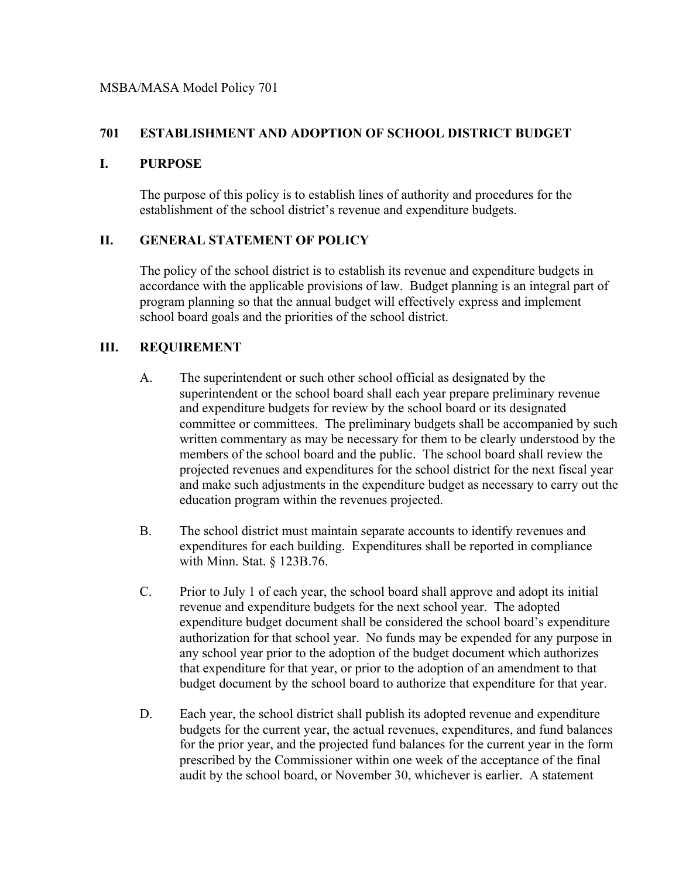## **701 ESTABLISHMENT AND ADOPTION OF SCHOOL DISTRICT BUDGET**

### **I. PURPOSE**

The purpose of this policy is to establish lines of authority and procedures for the establishment of the school district's revenue and expenditure budgets.

## **II. GENERAL STATEMENT OF POLICY**

The policy of the school district is to establish its revenue and expenditure budgets in accordance with the applicable provisions of law. Budget planning is an integral part of program planning so that the annual budget will effectively express and implement school board goals and the priorities of the school district.

# **III. REQUIREMENT**

- A. The superintendent or such other school official as designated by the superintendent or the school board shall each year prepare preliminary revenue and expenditure budgets for review by the school board or its designated committee or committees. The preliminary budgets shall be accompanied by such written commentary as may be necessary for them to be clearly understood by the members of the school board and the public. The school board shall review the projected revenues and expenditures for the school district for the next fiscal year and make such adjustments in the expenditure budget as necessary to carry out the education program within the revenues projected.
- B. The school district must maintain separate accounts to identify revenues and expenditures for each building. Expenditures shall be reported in compliance with Minn. Stat. § 123B.76.
- C. Prior to July 1 of each year, the school board shall approve and adopt its initial revenue and expenditure budgets for the next school year. The adopted expenditure budget document shall be considered the school board's expenditure authorization for that school year. No funds may be expended for any purpose in any school year prior to the adoption of the budget document which authorizes that expenditure for that year, or prior to the adoption of an amendment to that budget document by the school board to authorize that expenditure for that year.
- D. Each year, the school district shall publish its adopted revenue and expenditure budgets for the current year, the actual revenues, expenditures, and fund balances for the prior year, and the projected fund balances for the current year in the form prescribed by the Commissioner within one week of the acceptance of the final audit by the school board, or November 30, whichever is earlier. A statement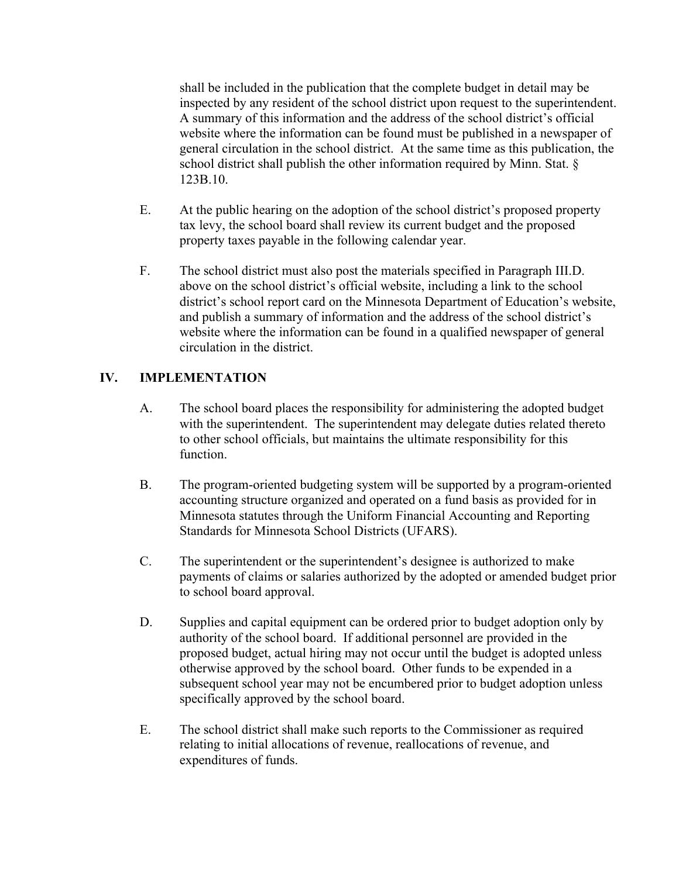shall be included in the publication that the complete budget in detail may be inspected by any resident of the school district upon request to the superintendent. A summary of this information and the address of the school district's official website where the information can be found must be published in a newspaper of general circulation in the school district. At the same time as this publication, the school district shall publish the other information required by Minn. Stat. § 123B.10.

- E. At the public hearing on the adoption of the school district's proposed property tax levy, the school board shall review its current budget and the proposed property taxes payable in the following calendar year.
- F. The school district must also post the materials specified in Paragraph III.D. above on the school district's official website, including a link to the school district's school report card on the Minnesota Department of Education's website, and publish a summary of information and the address of the school district's website where the information can be found in a qualified newspaper of general circulation in the district.

## **IV. IMPLEMENTATION**

- A. The school board places the responsibility for administering the adopted budget with the superintendent. The superintendent may delegate duties related thereto to other school officials, but maintains the ultimate responsibility for this function.
- B. The program-oriented budgeting system will be supported by a program-oriented accounting structure organized and operated on a fund basis as provided for in Minnesota statutes through the Uniform Financial Accounting and Reporting Standards for Minnesota School Districts (UFARS).
- C. The superintendent or the superintendent's designee is authorized to make payments of claims or salaries authorized by the adopted or amended budget prior to school board approval.
- D. Supplies and capital equipment can be ordered prior to budget adoption only by authority of the school board. If additional personnel are provided in the proposed budget, actual hiring may not occur until the budget is adopted unless otherwise approved by the school board. Other funds to be expended in a subsequent school year may not be encumbered prior to budget adoption unless specifically approved by the school board.
- E. The school district shall make such reports to the Commissioner as required relating to initial allocations of revenue, reallocations of revenue, and expenditures of funds.